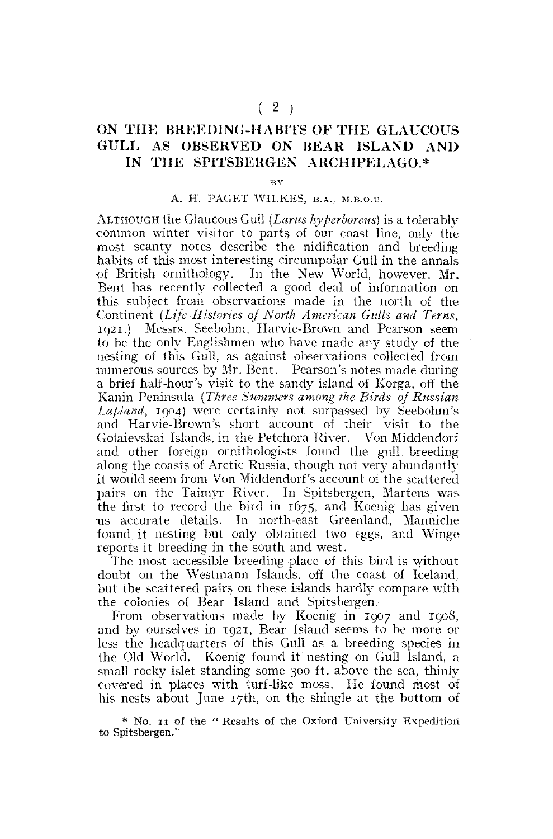## **ON THE BREEDING-HABITS OF THE GLAUCOUS GULL AS OBSERVED ON HEAR ISLAND AND IN THE SPITSBERGEN ARCHIPELAGO.\***

**BY** 

## A. H. PAGET WILKES, B.A., M.B.O.U.

ALTHOUGH the Glaucous Gull *(Lams hyperboreus)* is a tolerably •common winter visitor to parts of our coast line, only the most scanty notes describe the nidification and breeding habits of this most interesting circumpolar Gull in the annals •of British ornithology. In the New World, however, Mr. Bent has recently collected a good deal of information on this subject from observations made in the north of the •Continent *(Life Histories of North American Galls and Terns,*  1921.) Messrs. Seebohm, Harvie-Brown and Pearson seem to be the only Englishmen who have made any study of the nesting of this Gull, as against observations collected from numerous sources by Mr. Bent. Pearson's notes made during a brief half-hour's visit to the sandy island of Korga, off the Kanin Peninsula *(Three Summers among the Birds of Russian Lapland,* 1904) were certainly not surpassed by Seebohm's and Harvie-Brown's short account of their visit to the Golaievskai Islands, in the Petchora River. Von Middendorf and other foreign ornithologists found the gull breeding along the coasts of Arctic Russia, though not very abundantly it would seem from Von Middendorf's account of the scattered pairs on the Taimyr River. In Spitsbergen, Martens was the first to record the bird in 1675, and Koenig has given us accurate details. In north-east Greenland, Manniche found it nesting but only obtained two eggs, and Winge reports it breeding in the south and west.

The most accessible breeding-place of this bird is without doubt on the Westmann Islands, off the coast of Iceland, but the scattered pairs on these islands hardly compare **with**  the colonies of Bear Island and Spitsbergen.

From observations made by Koenig in 1907 and 1908, and by ourselves in 1921, Bear Island seems to be more or less the headquarters of this Gull as a breeding species in the Old World. Koenig found it nesting on Gull Island, a small rocky islet standing some 300 ft. above the sea, thinly covered in places with turf-like moss. He found most of his nests about June 17th, on the shingle at the bottom of

\* No. 11 of the " Results of the Oxford University Expedition to Spitsbergen."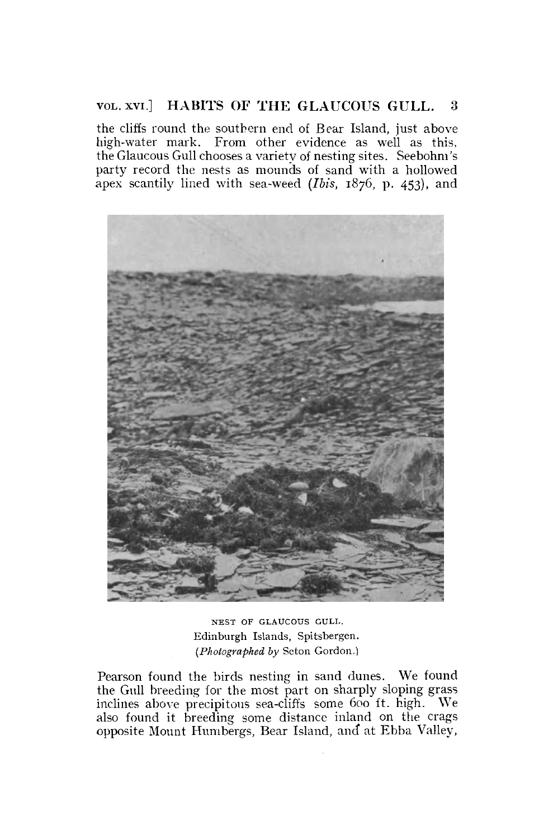## VOL. xvi] **HABITS OF THE GLAUCOUS GULL.** 3

the cliffs round the southern end of Bear Island, just above high-water mark. From other evidence as well as this, the Glaucous Gull chooses a variety of nesting sites. Seebohm's party record the nests as mounds of sand with a hollowed apex scantily lined with sea-weed *(Ibis,* 1876, p. 453), and



NEST OF GLAUCOUS GULL. Edinburgh Islands, Spitsbergen. *(Photographed by* Seton Gordon.)

Pearson found the birds nesting in sand dunes. We found the Gull breeding for the most part on sharply sloping grass inclines above precipitous sea-cliffs some 600 ft. high. We also found it breeding some distance inland on the crags opposite Mount Humbergs, Bear Island, and at Ebba Valley,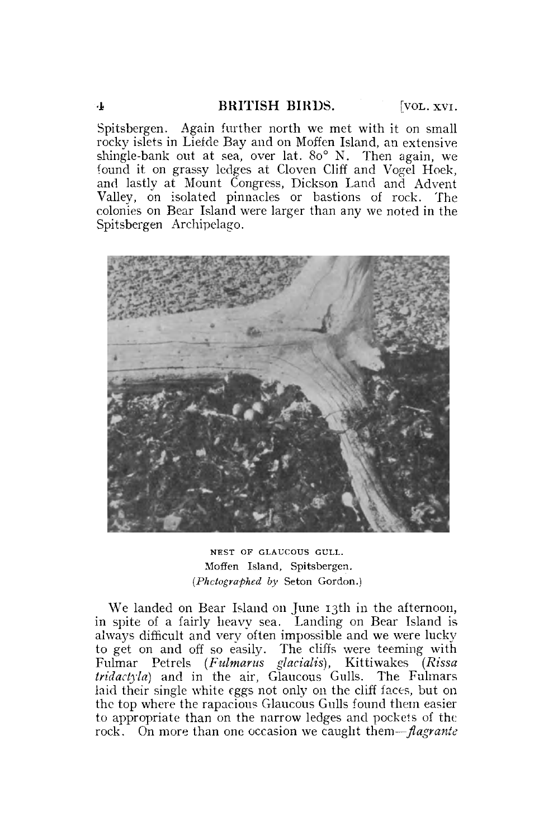Spitsbergen. Again further north we met with it on small rocky islets in Liefde Bay and on Moffen Island, an extensive shingle-bank out at sea, over lat. 8o° N. Then again, we found it on grassy ledges at Cloven Cliff and Vogel Hoek, and lastly at Mount Congress, Dickson Land and Advent Valley, on isolated pinnacles or bastions of rock. The colonies on Bear Island were larger than any we noted in the Spitsbergen Archipelago.



NEST OF GLAUCOUS GULL. Moffen Island, Spitsbergen. *(Photographed by* Seton Gordon.)

We landed on Bear Island on June 13th in the afternoon, in spite of a fairly heavy sea. Landing on Bear Island is always difficult and very often impossible and we were lucky to get on and off so easily. The cliffs were teeming with Fulmar Petrels *(Fulmar us glacialis),* Kittiwakes *(Rissa tridadyla)* and in the air, Glaucous Gulls. The Fulmars laid their single white eggs not only on the cliff faces, but on the top where the rapacious Glaucous Gulls found them easier to appropriate than on the narrow ledges and pockets of the rock. On more than one occasion we caught them—*flagrante*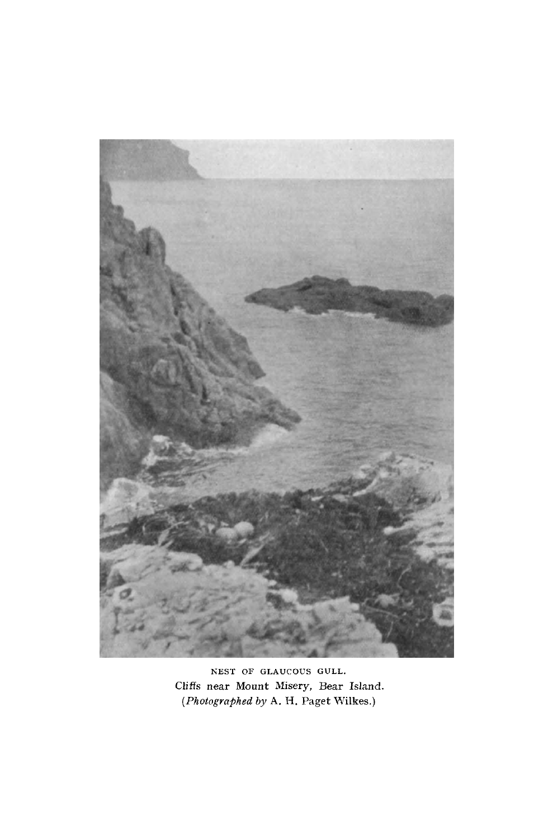

NEST OF GLAUCOUS GULL. Cliffs near Mount Misery, Bear Island. *(Photographed by* A. H. Paget Wilkes.)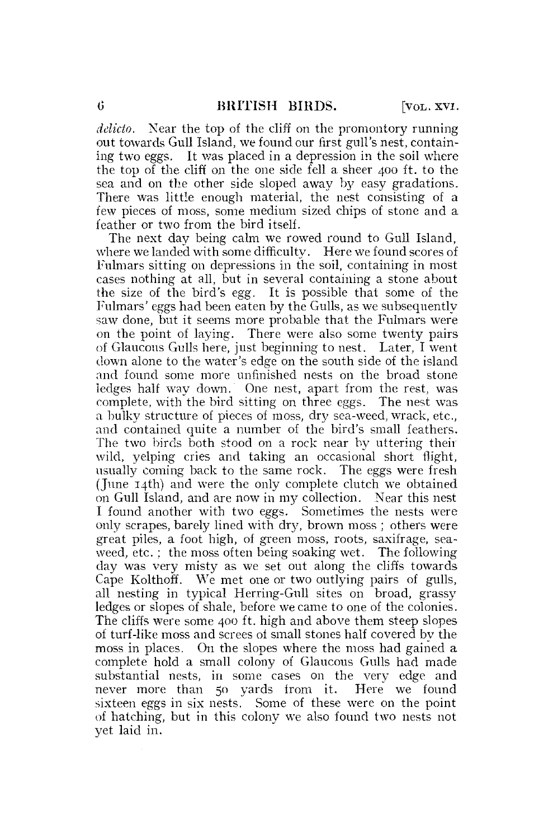*delicto.* Near the top of the cliff on the promontory running out towards Gull Island, we found our first gull's nest, containing two eggs. It was placed in a depression in the soil where the top of the cliff on the one side fell a sheer 400 ft. to the sea and on the other side sloped away by easy gradations. There was little enough material, the nest consisting of a few pieces of moss, some medium sized chips of stone and a feather or two from the bird itself.

The next day being calm we rowed round to Gull Island, where we landed with some difficulty. Here we found scores of Fulmars sitting on depressions in the soil, containing in most cases nothing at all, but in several containing a stone about the size of the bird's egg. It is possible that some of the Fulmars' eggs had been eaten by the Gulls, as we subsequently saw done, but it seems more probable that the Fulmars were on the point of laying. There were also some twenty pairs of Glaucous Gulls here, just beginning to nest. Later, I went down alone to the water's edge on the south side of the island and found some more unfinished nests on the broad stone ledges half way down. One nest, apart from the rest, was complete, with the bird sitting on three eggs. The nest was a bulky structure of pieces of moss, dry sea-weed, wrack, etc., and contained quite a number of the bird's small feathers. The two birds both stood on a rock near by uttering their wild, yelping cries and taking an occasional short flight, usually coming back to the same rock. The eggs were fresh (June 14th) and were the only complete clutch we obtained on Gull Island, and are now in my collection. Near this nest I found another with two eggs. Sometimes the nests were only scrapes, barely lined with dry, brown moss ; others were great piles, a foot high, of green moss, roots, saxifrage, seaweed, etc. ; the moss often being soaking wet. The following day was very misty as we set out along the cliffs towards Cape Kolthoff. We met one or two outlying pairs of gulls, all nesting in typical Herring-Gull sites on broad, grassy ledges or slopes of shale, before we came to one of the colonies. The cliffs were some 400 ft. high and above them steep slopes of turf-like moss and screes oi small stones half covered by the moss in places. On the slopes where the moss had gained a complete hold a small colony of Glaucous Gulls had made substantial nests, in some cases on the very edge and never more than 50 yards from it. Here we found sixteen eggs in six nests. Some of these were on the point of hatching, but in this colony we also found two nests not yet laid in.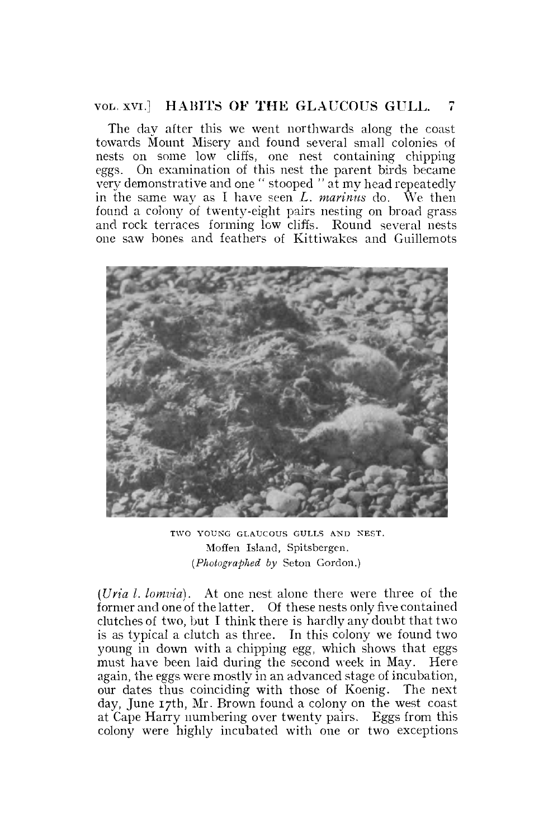## VOL. XVI.] HABITS OF THE GLAUCOUS GULL.

The day after this we went northwards along the coast towards Mount Misery and found several small colonies of nests on some low cliffs, one nest containing chipping eggs. On examination of this nest the parent birds became very demonstrative and one " stooped " at my head repeatedly in the same way as I have seen L. *marinus* do. We then found a colony of twenty-eight pairs nesting on broad grass and rock terraces forming low cliffs. Round several nests one saw bones and feathers of Kittiwakes and Guillemots



TWO YOUNG GLAUCOUS GULLS AND NEST. Moffen Island, Spitsbergen. *(Photographed by* Seton Gordon.)

*(Uria l. lomvia).* At one nest alone there were three of the former and one of the latter. Of these nests only five contained clutches of two, but I think there is hardly any doubt that two is as typical a clutch as three. In this colony we found two young in down with a chipping egg, which shows that eggs must have been laid during the second week in May. Here again, the eggs were mostly in an advanced stage of incubation, our dates thus coinciding with those of Koenig. The next day, June 17th, Mr. Brown found a colony on the west coast at Cape Harry numbering over twenty pairs. Eggs from this colony were highly incubated with one or two exceptions